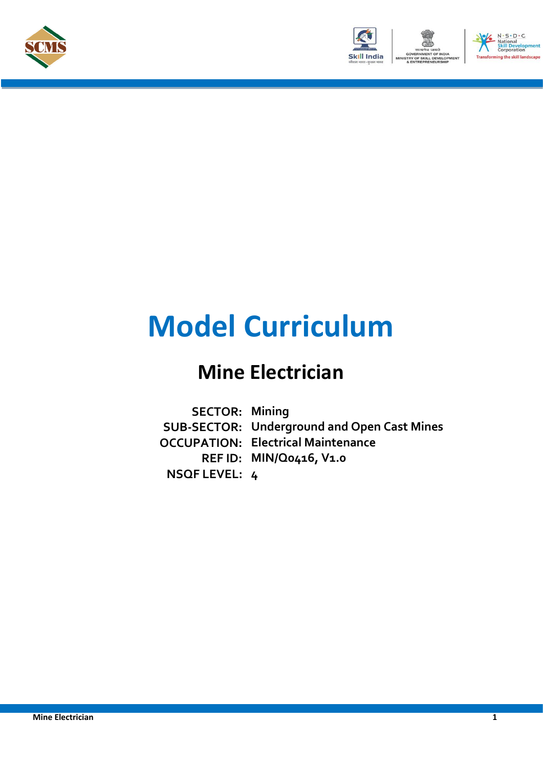





# **Model Curriculum**

## **Mine Electrician**

**SECTOR: Mining SUB-SECTOR: Underground and Open Cast Mines OCCUPATION: Electrical Maintenance REF ID: MIN/Q0416, V1.0 NSQF LEVEL: 4**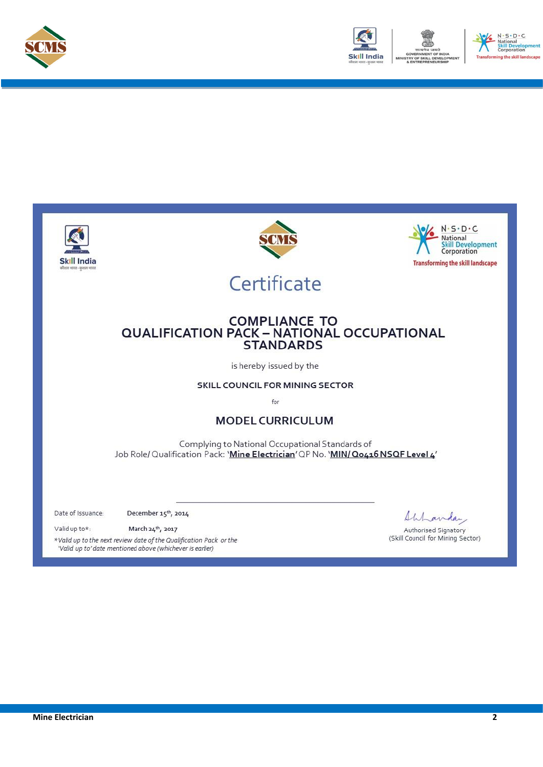



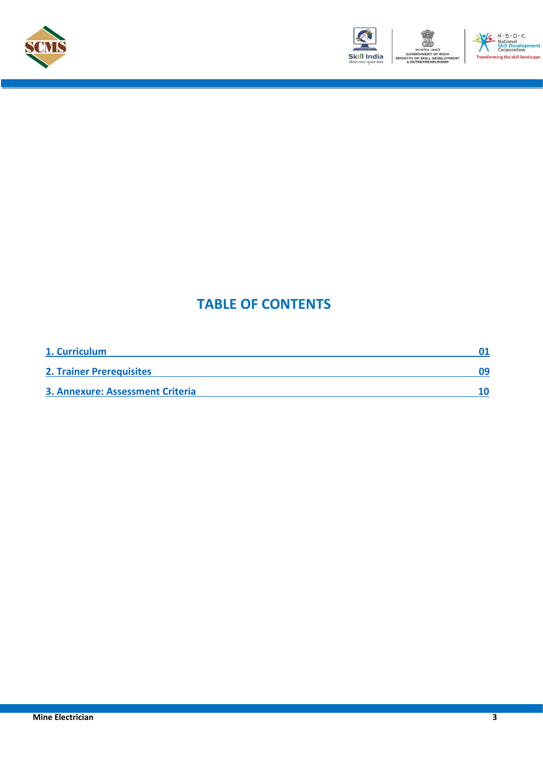





### **TABLE OF CONTENTS**

| 1. Curriculum                           |    |
|-----------------------------------------|----|
| <b>2. Trainer Prerequisites</b>         | 09 |
| <b>3. Annexure: Assessment Criteria</b> |    |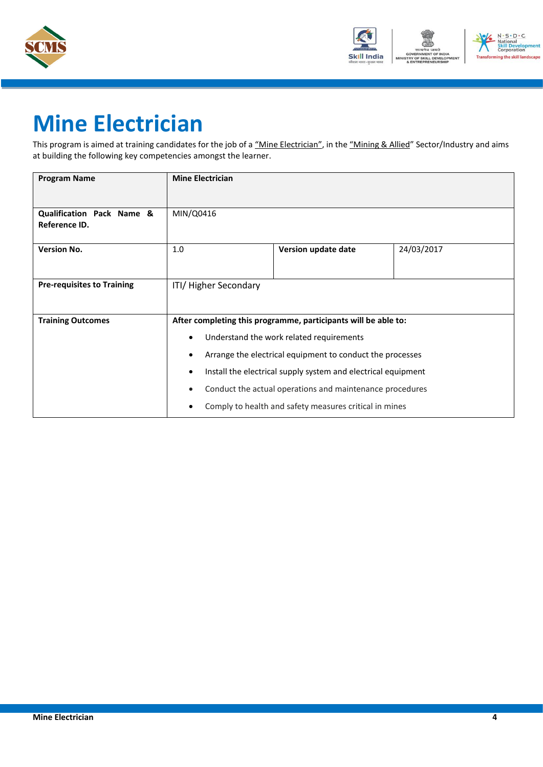



# **Mine Electrician**

This program is aimed at training candidates for the job of a "Mine Electrician", in the "Mining & Allied" Sector/Industry and aims at building the following key competencies amongst the learner.

| <b>Program Name</b>                        | <b>Mine Electrician</b>                                                                                                                                                                                                                                                                                                                                                                                    |                     |            |  |
|--------------------------------------------|------------------------------------------------------------------------------------------------------------------------------------------------------------------------------------------------------------------------------------------------------------------------------------------------------------------------------------------------------------------------------------------------------------|---------------------|------------|--|
| Qualification Pack Name &<br>Reference ID. | MIN/Q0416                                                                                                                                                                                                                                                                                                                                                                                                  |                     |            |  |
| <b>Version No.</b>                         | 1.0                                                                                                                                                                                                                                                                                                                                                                                                        | Version update date | 24/03/2017 |  |
| <b>Pre-requisites to Training</b>          | ITI/ Higher Secondary                                                                                                                                                                                                                                                                                                                                                                                      |                     |            |  |
| <b>Training Outcomes</b>                   | After completing this programme, participants will be able to:<br>Understand the work related requirements<br>$\bullet$<br>Arrange the electrical equipment to conduct the processes<br>$\bullet$<br>Install the electrical supply system and electrical equipment<br>٠<br>Conduct the actual operations and maintenance procedures<br>$\bullet$<br>Comply to health and safety measures critical in mines |                     |            |  |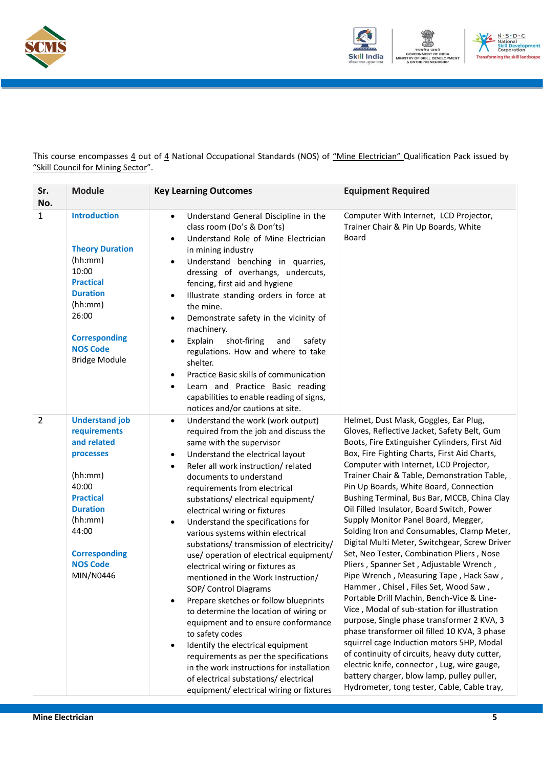



This course encompasses 4 out of 4 National Occupational Standards (NOS) of "Mine Electrician" Qualification Pack issued by "Skill Council for Mining Sector".

| Sr.<br>No.     | <b>Module</b>                                                                                                                                                                                            | <b>Key Learning Outcomes</b>                                                                                                                                                                                                                                                                                                                                                                                                                                                                                                                                                                                                                                                                                                                                                                                                                                                                                                                                                                                                     | <b>Equipment Required</b>                                                                                                                                                                                                                                                                                                                                                                                                                                                                                                                                                                                                                                                                                                                                                                                                                                                                                                                                                                                                                                                                                                                                                |
|----------------|----------------------------------------------------------------------------------------------------------------------------------------------------------------------------------------------------------|----------------------------------------------------------------------------------------------------------------------------------------------------------------------------------------------------------------------------------------------------------------------------------------------------------------------------------------------------------------------------------------------------------------------------------------------------------------------------------------------------------------------------------------------------------------------------------------------------------------------------------------------------------------------------------------------------------------------------------------------------------------------------------------------------------------------------------------------------------------------------------------------------------------------------------------------------------------------------------------------------------------------------------|--------------------------------------------------------------------------------------------------------------------------------------------------------------------------------------------------------------------------------------------------------------------------------------------------------------------------------------------------------------------------------------------------------------------------------------------------------------------------------------------------------------------------------------------------------------------------------------------------------------------------------------------------------------------------------------------------------------------------------------------------------------------------------------------------------------------------------------------------------------------------------------------------------------------------------------------------------------------------------------------------------------------------------------------------------------------------------------------------------------------------------------------------------------------------|
| $\mathbf{1}$   | <b>Introduction</b><br><b>Theory Duration</b><br>(hh:mm)<br>10:00<br><b>Practical</b><br><b>Duration</b><br>(hh:mm)<br>26:00<br><b>Corresponding</b><br><b>NOS Code</b><br><b>Bridge Module</b>          | Understand General Discipline in the<br>$\bullet$<br>class room (Do's & Don'ts)<br>Understand Role of Mine Electrician<br>$\bullet$<br>in mining industry<br>Understand benching in quarries,<br>$\bullet$<br>dressing of overhangs, undercuts,<br>fencing, first aid and hygiene<br>Illustrate standing orders in force at<br>$\bullet$<br>the mine.<br>Demonstrate safety in the vicinity of<br>$\bullet$<br>machinery.<br>Explain<br>shot-firing<br>and<br>safety<br>$\bullet$<br>regulations. How and where to take<br>shelter.<br>Practice Basic skills of communication<br>$\bullet$<br>Learn and Practice Basic reading<br>$\bullet$<br>capabilities to enable reading of signs,<br>notices and/or cautions at site.                                                                                                                                                                                                                                                                                                      | Computer With Internet, LCD Projector,<br>Trainer Chair & Pin Up Boards, White<br>Board                                                                                                                                                                                                                                                                                                                                                                                                                                                                                                                                                                                                                                                                                                                                                                                                                                                                                                                                                                                                                                                                                  |
| $\overline{2}$ | <b>Understand job</b><br>requirements<br>and related<br>processes<br>(hh:mm)<br>40:00<br><b>Practical</b><br><b>Duration</b><br>(hh:mm)<br>44:00<br><b>Corresponding</b><br><b>NOS Code</b><br>MIN/N0446 | Understand the work (work output)<br>$\bullet$<br>required from the job and discuss the<br>same with the supervisor<br>Understand the electrical layout<br>$\bullet$<br>Refer all work instruction/related<br>$\bullet$<br>documents to understand<br>requirements from electrical<br>substations/electrical equipment/<br>electrical wiring or fixtures<br>Understand the specifications for<br>$\bullet$<br>various systems within electrical<br>substations/ transmission of electricity/<br>use/operation of electrical equipment/<br>electrical wiring or fixtures as<br>mentioned in the Work Instruction/<br>SOP/ Control Diagrams<br>Prepare sketches or follow blueprints<br>$\bullet$<br>to determine the location of wiring or<br>equipment and to ensure conformance<br>to safety codes<br>Identify the electrical equipment<br>$\bullet$<br>requirements as per the specifications<br>in the work instructions for installation<br>of electrical substations/electrical<br>equipment/ electrical wiring or fixtures | Helmet, Dust Mask, Goggles, Ear Plug,<br>Gloves, Reflective Jacket, Safety Belt, Gum<br>Boots, Fire Extinguisher Cylinders, First Aid<br>Box, Fire Fighting Charts, First Aid Charts,<br>Computer with Internet, LCD Projector,<br>Trainer Chair & Table, Demonstration Table,<br>Pin Up Boards, White Board, Connection<br>Bushing Terminal, Bus Bar, MCCB, China Clay<br>Oil Filled Insulator, Board Switch, Power<br>Supply Monitor Panel Board, Megger,<br>Solding Iron and Consumables, Clamp Meter,<br>Digital Multi Meter, Switchgear, Screw Driver<br>Set, Neo Tester, Combination Pliers, Nose<br>Pliers, Spanner Set, Adjustable Wrench,<br>Pipe Wrench, Measuring Tape, Hack Saw,<br>Hammer, Chisel, Files Set, Wood Saw,<br>Portable Drill Machin, Bench-Vice & Line-<br>Vice, Modal of sub-station for illustration<br>purpose, Single phase transformer 2 KVA, 3<br>phase transformer oil filled 10 KVA, 3 phase<br>squirrel cage Induction motors 5HP, Modal<br>of continuity of circuits, heavy duty cutter,<br>electric knife, connector, Lug, wire gauge,<br>battery charger, blow lamp, pulley puller,<br>Hydrometer, tong tester, Cable, Cable tray, |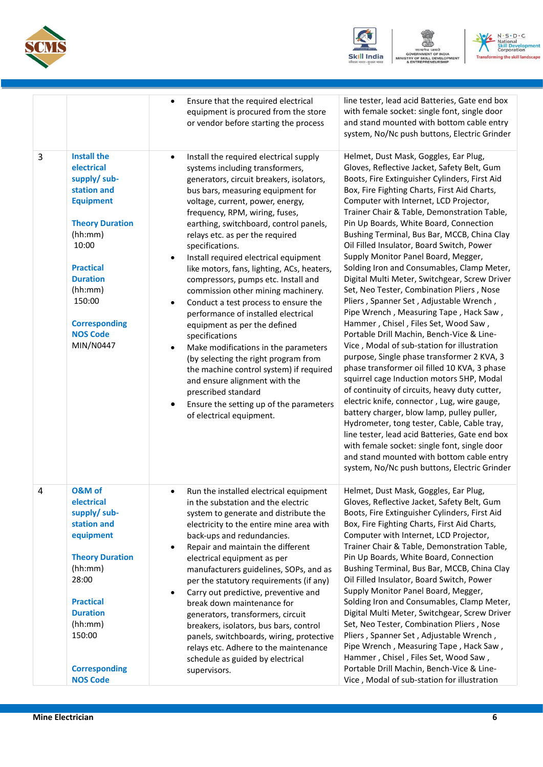





|   |                                                                                                                                                                                                                                                       | line tester, lead acid Batteries, Gate end box<br>Ensure that the required electrical<br>with female socket: single font, single door<br>equipment is procured from the store<br>and stand mounted with bottom cable entry<br>or vendor before starting the process<br>system, No/Nc push buttons, Electric Grinder                                                                                                                                                                                                                                                                                                                                                                                                                                                                                                                                                                                                                                                                                                                                                                                                                                                                                                                                                                                                                                                                                                                                                                                                                                                                                                                                                                                                                                                                                                                                                                                                                                                                                                                                                                                                                                                                                                                                                                     |
|---|-------------------------------------------------------------------------------------------------------------------------------------------------------------------------------------------------------------------------------------------------------|-----------------------------------------------------------------------------------------------------------------------------------------------------------------------------------------------------------------------------------------------------------------------------------------------------------------------------------------------------------------------------------------------------------------------------------------------------------------------------------------------------------------------------------------------------------------------------------------------------------------------------------------------------------------------------------------------------------------------------------------------------------------------------------------------------------------------------------------------------------------------------------------------------------------------------------------------------------------------------------------------------------------------------------------------------------------------------------------------------------------------------------------------------------------------------------------------------------------------------------------------------------------------------------------------------------------------------------------------------------------------------------------------------------------------------------------------------------------------------------------------------------------------------------------------------------------------------------------------------------------------------------------------------------------------------------------------------------------------------------------------------------------------------------------------------------------------------------------------------------------------------------------------------------------------------------------------------------------------------------------------------------------------------------------------------------------------------------------------------------------------------------------------------------------------------------------------------------------------------------------------------------------------------------------|
| 3 | <b>Install the</b><br>electrical<br>supply/ sub-<br>station and<br><b>Equipment</b><br><b>Theory Duration</b><br>(hh:mm)<br>10:00<br><b>Practical</b><br><b>Duration</b><br>(hh:mm)<br>150:00<br><b>Corresponding</b><br><b>NOS Code</b><br>MIN/N0447 | Helmet, Dust Mask, Goggles, Ear Plug,<br>Install the required electrical supply<br>$\bullet$<br>Gloves, Reflective Jacket, Safety Belt, Gum<br>systems including transformers,<br>Boots, Fire Extinguisher Cylinders, First Aid<br>generators, circuit breakers, isolators,<br>Box, Fire Fighting Charts, First Aid Charts,<br>bus bars, measuring equipment for<br>Computer with Internet, LCD Projector,<br>voltage, current, power, energy,<br>Trainer Chair & Table, Demonstration Table,<br>frequency, RPM, wiring, fuses,<br>Pin Up Boards, White Board, Connection<br>earthing, switchboard, control panels,<br>Bushing Terminal, Bus Bar, MCCB, China Clay<br>relays etc. as per the required<br>Oil Filled Insulator, Board Switch, Power<br>specifications.<br>Supply Monitor Panel Board, Megger,<br>Install required electrical equipment<br>Solding Iron and Consumables, Clamp Meter,<br>like motors, fans, lighting, ACs, heaters,<br>Digital Multi Meter, Switchgear, Screw Driver<br>compressors, pumps etc. Install and<br>Set, Neo Tester, Combination Pliers, Nose<br>commission other mining machinery.<br>Pliers, Spanner Set, Adjustable Wrench,<br>Conduct a test process to ensure the<br>Pipe Wrench, Measuring Tape, Hack Saw,<br>performance of installed electrical<br>Hammer, Chisel, Files Set, Wood Saw,<br>equipment as per the defined<br>Portable Drill Machin, Bench-Vice & Line-<br>specifications<br>Vice, Modal of sub-station for illustration<br>Make modifications in the parameters<br>purpose, Single phase transformer 2 KVA, 3<br>(by selecting the right program from<br>phase transformer oil filled 10 KVA, 3 phase<br>the machine control system) if required<br>squirrel cage Induction motors 5HP, Modal<br>and ensure alignment with the<br>of continuity of circuits, heavy duty cutter,<br>prescribed standard<br>electric knife, connector, Lug, wire gauge,<br>Ensure the setting up of the parameters<br>battery charger, blow lamp, pulley puller,<br>of electrical equipment.<br>Hydrometer, tong tester, Cable, Cable tray,<br>line tester, lead acid Batteries, Gate end box<br>with female socket: single font, single door<br>and stand mounted with bottom cable entry<br>system, No/Nc push buttons, Electric Grinder |
| 4 | O&M of<br>electrical<br>supply/ sub-<br>station and<br>equipment<br><b>Theory Duration</b><br>(hh:mm)<br>28:00<br><b>Practical</b><br><b>Duration</b><br>(hh:mm)<br>150:00<br><b>Corresponding</b><br><b>NOS Code</b>                                 | Helmet, Dust Mask, Goggles, Ear Plug,<br>Run the installed electrical equipment<br>$\bullet$<br>Gloves, Reflective Jacket, Safety Belt, Gum<br>in the substation and the electric<br>Boots, Fire Extinguisher Cylinders, First Aid<br>system to generate and distribute the<br>Box, Fire Fighting Charts, First Aid Charts,<br>electricity to the entire mine area with<br>Computer with Internet, LCD Projector,<br>back-ups and redundancies.<br>Trainer Chair & Table, Demonstration Table,<br>Repair and maintain the different<br>Pin Up Boards, White Board, Connection<br>electrical equipment as per<br>Bushing Terminal, Bus Bar, MCCB, China Clay<br>manufacturers guidelines, SOPs, and as<br>Oil Filled Insulator, Board Switch, Power<br>per the statutory requirements (if any)<br>Supply Monitor Panel Board, Megger,<br>Carry out predictive, preventive and<br>Solding Iron and Consumables, Clamp Meter,<br>break down maintenance for<br>Digital Multi Meter, Switchgear, Screw Driver<br>generators, transformers, circuit<br>Set, Neo Tester, Combination Pliers, Nose<br>breakers, isolators, bus bars, control<br>Pliers, Spanner Set, Adjustable Wrench,<br>panels, switchboards, wiring, protective<br>Pipe Wrench, Measuring Tape, Hack Saw,<br>relays etc. Adhere to the maintenance<br>Hammer, Chisel, Files Set, Wood Saw,<br>schedule as guided by electrical<br>Portable Drill Machin, Bench-Vice & Line-<br>supervisors.<br>Vice, Modal of sub-station for illustration                                                                                                                                                                                                                                                                                                                                                                                                                                                                                                                                                                                                                                                                                                                                                                                 |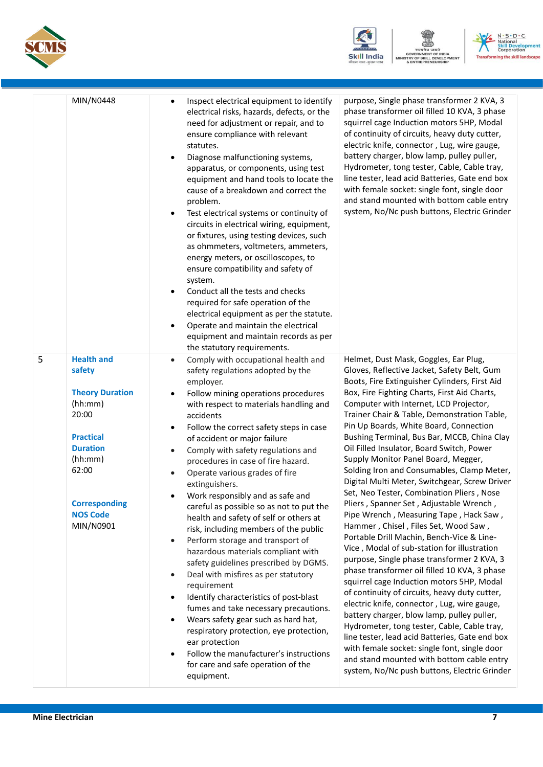





|   | MIN/N0448                                                                                                                                                                                    | Inspect electrical equipment to identify<br>electrical risks, hazards, defects, or the<br>need for adjustment or repair, and to<br>ensure compliance with relevant<br>statutes.<br>Diagnose malfunctioning systems,<br>$\bullet$<br>apparatus, or components, using test<br>equipment and hand tools to locate the<br>cause of a breakdown and correct the<br>problem.<br>Test electrical systems or continuity of<br>circuits in electrical wiring, equipment,<br>or fixtures, using testing devices, such<br>as ohmmeters, voltmeters, ammeters,<br>energy meters, or oscilloscopes, to<br>ensure compatibility and safety of<br>system.<br>Conduct all the tests and checks<br>required for safe operation of the<br>electrical equipment as per the statute.<br>Operate and maintain the electrical<br>equipment and maintain records as per<br>the statutory requirements.                                                                                                                                                                                                     | purpose, Single phase transformer 2 KVA, 3<br>phase transformer oil filled 10 KVA, 3 phase<br>squirrel cage Induction motors 5HP, Modal<br>of continuity of circuits, heavy duty cutter,<br>electric knife, connector, Lug, wire gauge,<br>battery charger, blow lamp, pulley puller,<br>Hydrometer, tong tester, Cable, Cable tray,<br>line tester, lead acid Batteries, Gate end box<br>with female socket: single font, single door<br>and stand mounted with bottom cable entry<br>system, No/Nc push buttons, Electric Grinder                                                                                                                                                                                                                                                                                                                                                                                                                                                                                                                                                                                                                                                                                                                                                                                                                                     |
|---|----------------------------------------------------------------------------------------------------------------------------------------------------------------------------------------------|-------------------------------------------------------------------------------------------------------------------------------------------------------------------------------------------------------------------------------------------------------------------------------------------------------------------------------------------------------------------------------------------------------------------------------------------------------------------------------------------------------------------------------------------------------------------------------------------------------------------------------------------------------------------------------------------------------------------------------------------------------------------------------------------------------------------------------------------------------------------------------------------------------------------------------------------------------------------------------------------------------------------------------------------------------------------------------------|-------------------------------------------------------------------------------------------------------------------------------------------------------------------------------------------------------------------------------------------------------------------------------------------------------------------------------------------------------------------------------------------------------------------------------------------------------------------------------------------------------------------------------------------------------------------------------------------------------------------------------------------------------------------------------------------------------------------------------------------------------------------------------------------------------------------------------------------------------------------------------------------------------------------------------------------------------------------------------------------------------------------------------------------------------------------------------------------------------------------------------------------------------------------------------------------------------------------------------------------------------------------------------------------------------------------------------------------------------------------------|
| 5 | <b>Health and</b><br>safety<br><b>Theory Duration</b><br>(hh:mm)<br>20:00<br><b>Practical</b><br><b>Duration</b><br>(hh:mm)<br>62:00<br><b>Corresponding</b><br><b>NOS Code</b><br>MIN/N0901 | Comply with occupational health and<br>$\bullet$<br>safety regulations adopted by the<br>employer.<br>Follow mining operations procedures<br>with respect to materials handling and<br>accidents<br>Follow the correct safety steps in case<br>of accident or major failure<br>Comply with safety regulations and<br>$\bullet$<br>procedures in case of fire hazard.<br>Operate various grades of fire<br>extinguishers.<br>Work responsibly and as safe and<br>careful as possible so as not to put the<br>health and safety of self or others at<br>risk, including members of the public<br>Perform storage and transport of<br>$\bullet$<br>hazardous materials compliant with<br>safety guidelines prescribed by DGMS.<br>Deal with misfires as per statutory<br>requirement<br>Identify characteristics of post-blast<br>fumes and take necessary precautions.<br>Wears safety gear such as hard hat,<br>$\bullet$<br>respiratory protection, eye protection,<br>ear protection<br>Follow the manufacturer's instructions<br>for care and safe operation of the<br>equipment. | Helmet, Dust Mask, Goggles, Ear Plug,<br>Gloves, Reflective Jacket, Safety Belt, Gum<br>Boots, Fire Extinguisher Cylinders, First Aid<br>Box, Fire Fighting Charts, First Aid Charts,<br>Computer with Internet, LCD Projector,<br>Trainer Chair & Table, Demonstration Table,<br>Pin Up Boards, White Board, Connection<br>Bushing Terminal, Bus Bar, MCCB, China Clay<br>Oil Filled Insulator, Board Switch, Power<br>Supply Monitor Panel Board, Megger,<br>Solding Iron and Consumables, Clamp Meter,<br>Digital Multi Meter, Switchgear, Screw Driver<br>Set, Neo Tester, Combination Pliers, Nose<br>Pliers, Spanner Set, Adjustable Wrench,<br>Pipe Wrench, Measuring Tape, Hack Saw,<br>Hammer, Chisel, Files Set, Wood Saw,<br>Portable Drill Machin, Bench-Vice & Line-<br>Vice, Modal of sub-station for illustration<br>purpose, Single phase transformer 2 KVA, 3<br>phase transformer oil filled 10 KVA, 3 phase<br>squirrel cage Induction motors 5HP, Modal<br>of continuity of circuits, heavy duty cutter,<br>electric knife, connector, Lug, wire gauge,<br>battery charger, blow lamp, pulley puller,<br>Hydrometer, tong tester, Cable, Cable tray,<br>line tester, lead acid Batteries, Gate end box<br>with female socket: single font, single door<br>and stand mounted with bottom cable entry<br>system, No/Nc push buttons, Electric Grinder |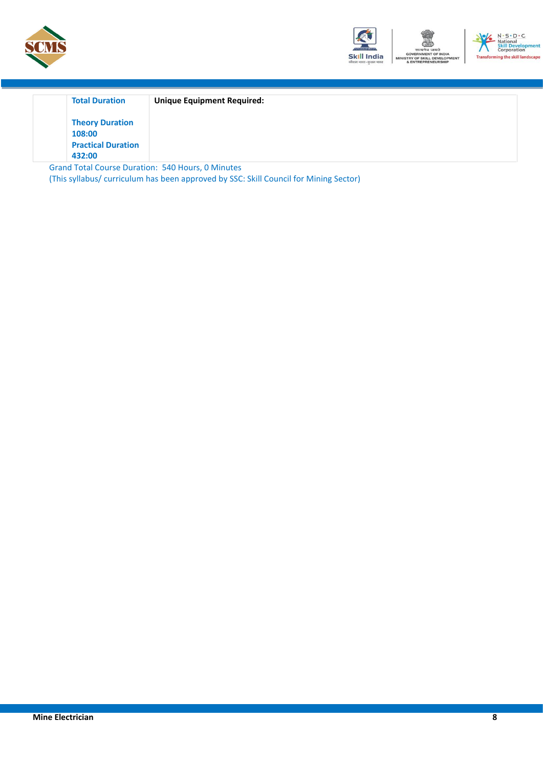



| <b>Total Duration</b>     | <b>Unique Equipment Required:</b> |  |
|---------------------------|-----------------------------------|--|
| <b>Theory Duration</b>    |                                   |  |
| 108:00                    |                                   |  |
| <b>Practical Duration</b> |                                   |  |
| 432:00                    |                                   |  |

<span id="page-7-0"></span>Grand Total Course Duration: 540 Hours, 0 Minutes (This syllabus/ curriculum has been approved by SSC: Skill Council for Mining Sector)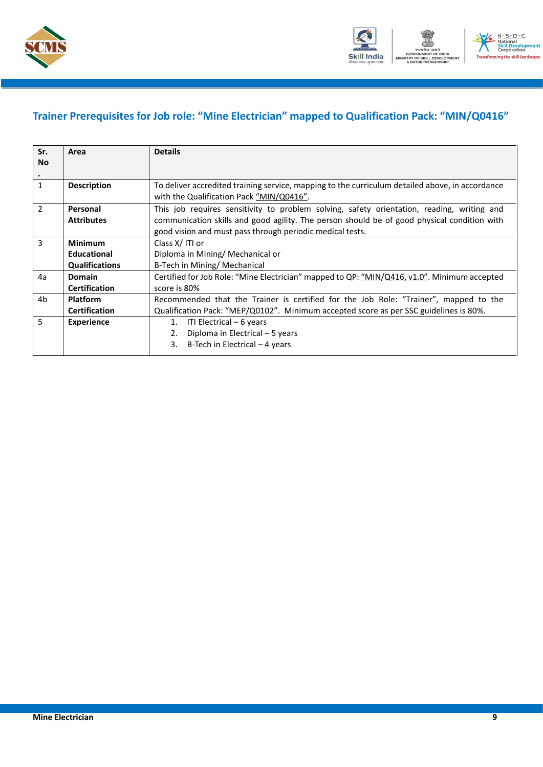



### **Trainer Prerequisites for Job role: "Mine Electrician" mapped to Qualification Pack: "MIN/Q0416"**

| Sr.<br><b>No</b> | Area                  | <b>Details</b>                                                                                                                              |  |  |  |
|------------------|-----------------------|---------------------------------------------------------------------------------------------------------------------------------------------|--|--|--|
| $\bullet$        |                       |                                                                                                                                             |  |  |  |
| $\mathbf{1}$     | <b>Description</b>    | To deliver accredited training service, mapping to the curriculum detailed above, in accordance<br>with the Qualification Pack "MIN/Q0416". |  |  |  |
| $\mathcal{P}$    | Personal              | This job requires sensitivity to problem solving, safety orientation, reading, writing and                                                  |  |  |  |
|                  | <b>Attributes</b>     | communication skills and good agility. The person should be of good physical condition with                                                 |  |  |  |
|                  |                       | good vision and must pass through periodic medical tests.                                                                                   |  |  |  |
| 3                | <b>Minimum</b>        | Class X/ITI or                                                                                                                              |  |  |  |
|                  | <b>Educational</b>    | Diploma in Mining/ Mechanical or                                                                                                            |  |  |  |
|                  | <b>Qualifications</b> | B-Tech in Mining/ Mechanical                                                                                                                |  |  |  |
| 4a               | Domain                | Certified for Job Role: "Mine Electrician" mapped to QP: "MIN/Q416, v1.0". Minimum accepted                                                 |  |  |  |
|                  | <b>Certification</b>  | score is 80%                                                                                                                                |  |  |  |
| 4b               | <b>Platform</b>       | Recommended that the Trainer is certified for the Job Role: "Trainer", mapped to the                                                        |  |  |  |
|                  | <b>Certification</b>  | Qualification Pack: "MEP/Q0102". Minimum accepted score as per SSC guidelines is 80%.                                                       |  |  |  |
| 5                | <b>Experience</b>     | ITI Electrical – 6 years<br>1.                                                                                                              |  |  |  |
|                  |                       | Diploma in Electrical - 5 years<br>2.                                                                                                       |  |  |  |
|                  |                       | B-Tech in Electrical $-4$ years<br>3.                                                                                                       |  |  |  |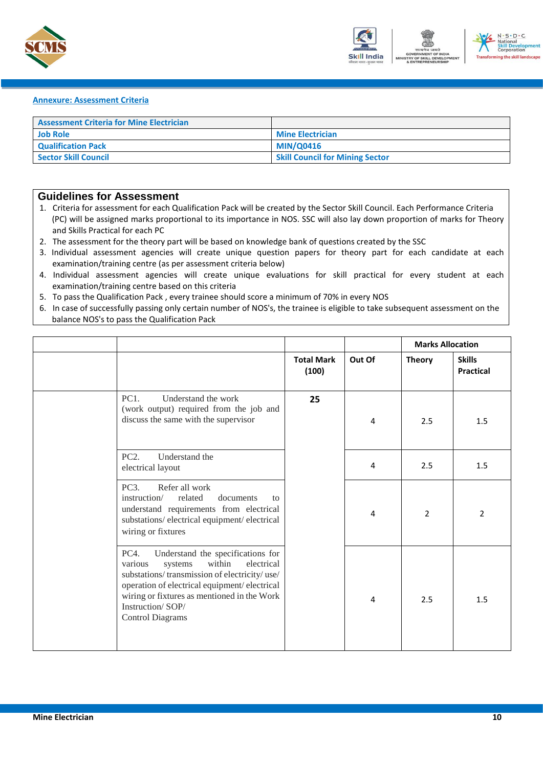



#### <span id="page-9-0"></span>**Annexure: Assessment Criteria**

| <b>Assessment Criteria for Mine Electrician</b> |                                        |
|-------------------------------------------------|----------------------------------------|
| <b>Job Role</b>                                 | <b>Mine Electrician</b>                |
| <b>Qualification Pack</b>                       | <b>MIN/Q0416</b>                       |
| Sector Skill Council                            | <b>Skill Council for Mining Sector</b> |

#### **Guidelines for Assessment**

- 1. Criteria for assessment for each Qualification Pack will be created by the Sector Skill Council. Each Performance Criteria (PC) will be assigned marks proportional to its importance in NOS. SSC will also lay down proportion of marks for Theory and Skills Practical for each PC
- 2. The assessment for the theory part will be based on knowledge bank of questions created by the SSC
- 3. Individual assessment agencies will create unique question papers for theory part for each candidate at each examination/training centre (as per assessment criteria below)
- 4. Individual assessment agencies will create unique evaluations for skill practical for every student at each examination/training centre based on this criteria
- 5. To pass the Qualification Pack , every trainee should score a minimum of 70% in every NOS
- 6. In case of successfully passing only certain number of NOS's, the trainee is eligible to take subsequent assessment on the balance NOS's to pass the Qualification Pack

|                                                                                                                                                                                                                                                                                       |                            | <b>Marks Allocation</b> |                |                                   |
|---------------------------------------------------------------------------------------------------------------------------------------------------------------------------------------------------------------------------------------------------------------------------------------|----------------------------|-------------------------|----------------|-----------------------------------|
|                                                                                                                                                                                                                                                                                       | <b>Total Mark</b><br>(100) | Out Of                  | <b>Theory</b>  | <b>Skills</b><br><b>Practical</b> |
| PC1.<br>Understand the work<br>(work output) required from the job and<br>discuss the same with the supervisor                                                                                                                                                                        | 25                         | 4                       | 2.5            | 1.5                               |
| PC <sub>2</sub> .<br>Understand the<br>electrical layout                                                                                                                                                                                                                              |                            | $\overline{4}$          | 2.5            | 1.5                               |
| PC <sub>3</sub> .<br>Refer all work<br>instruction/<br>related<br>documents<br>to<br>understand requirements from electrical<br>substations/electrical equipment/electrical<br>wiring or fixtures                                                                                     |                            | 4                       | $\overline{2}$ | $\overline{2}$                    |
| PC4.<br>Understand the specifications for<br>within<br>electrical<br>various<br>systems<br>substations/transmission of electricity/use/<br>operation of electrical equipment/electrical<br>wiring or fixtures as mentioned in the Work<br>Instruction/SOP/<br><b>Control Diagrams</b> |                            | 4                       | 2.5            | 1.5                               |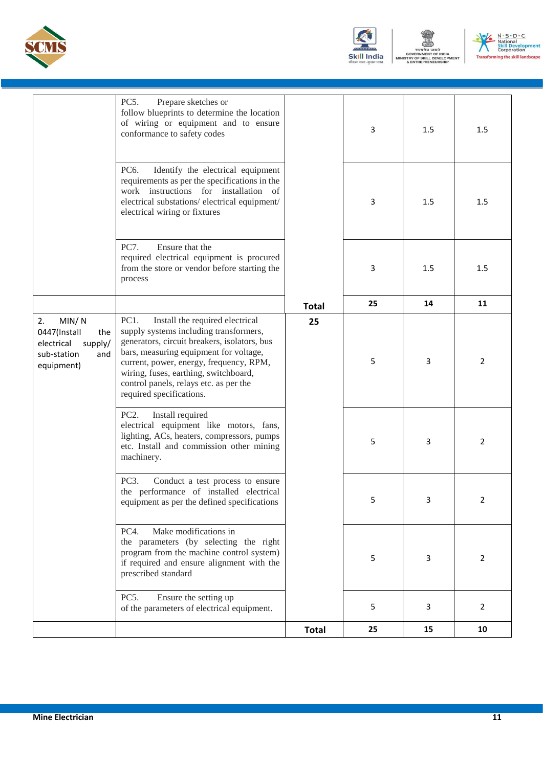





|                                                                                                 |                                                                                                                                                                                                                                                                                                                                       | <b>Total</b> | 25 | 15  | 10                    |
|-------------------------------------------------------------------------------------------------|---------------------------------------------------------------------------------------------------------------------------------------------------------------------------------------------------------------------------------------------------------------------------------------------------------------------------------------|--------------|----|-----|-----------------------|
|                                                                                                 | PC5.<br>Ensure the setting up<br>of the parameters of electrical equipment.                                                                                                                                                                                                                                                           |              | 5  | 3   | $\mathbf{2}^{\prime}$ |
|                                                                                                 | Make modifications in<br>PC4.<br>the parameters (by selecting the right<br>program from the machine control system)<br>if required and ensure alignment with the<br>prescribed standard                                                                                                                                               |              | 5  | 3   | 2                     |
|                                                                                                 | PC3.<br>Conduct a test process to ensure<br>the performance of installed electrical<br>equipment as per the defined specifications                                                                                                                                                                                                    |              |    | з   | 2                     |
|                                                                                                 | Install required<br>PC2.<br>electrical equipment like motors, fans,<br>lighting, ACs, heaters, compressors, pumps<br>etc. Install and commission other mining<br>machinery.                                                                                                                                                           |              | 5  | 3   | $\overline{2}$        |
| MIN/N<br>2.<br>0447(Install<br>the<br>electrical<br>supply/<br>sub-station<br>and<br>equipment) | PC1.<br>Install the required electrical<br>supply systems including transformers,<br>generators, circuit breakers, isolators, bus<br>bars, measuring equipment for voltage,<br>current, power, energy, frequency, RPM,<br>wiring, fuses, earthing, switchboard,<br>control panels, relays etc. as per the<br>required specifications. | 25           | 5  | 3   | $\overline{2}$        |
|                                                                                                 |                                                                                                                                                                                                                                                                                                                                       | <b>Total</b> | 25 | 14  | 11                    |
|                                                                                                 | PC7.<br>Ensure that the<br>required electrical equipment is procured<br>from the store or vendor before starting the<br>process                                                                                                                                                                                                       |              | 3  | 1.5 | 1.5                   |
|                                                                                                 | PC6.<br>Identify the electrical equipment<br>requirements as per the specifications in the<br>work instructions for installation of<br>electrical substations/electrical equipment/<br>electrical wiring or fixtures                                                                                                                  |              | 3  | 1.5 | 1.5                   |
|                                                                                                 | PC5.<br>Prepare sketches or<br>follow blueprints to determine the location<br>of wiring or equipment and to ensure<br>conformance to safety codes                                                                                                                                                                                     |              | 3  | 1.5 | 1.5                   |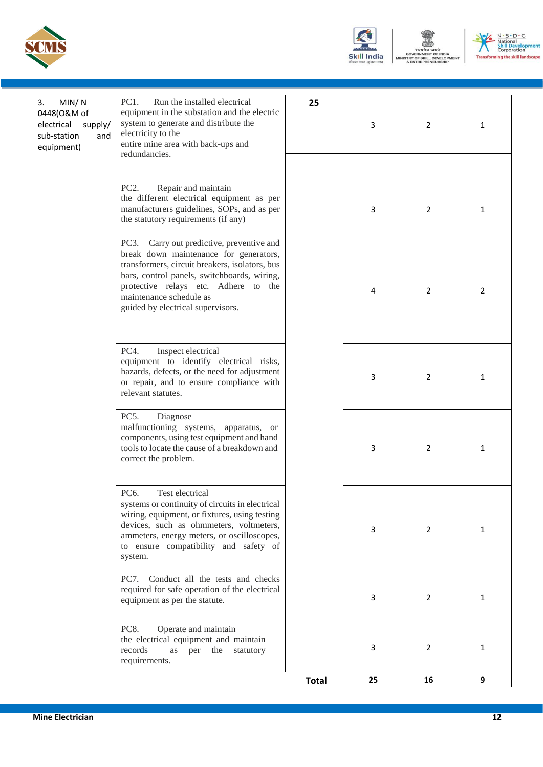





| MIN/N<br>3.<br>0448(O&M of<br>electrical<br>supply/<br>sub-station<br>and<br>equipment) | PC1.<br>Run the installed electrical<br>equipment in the substation and the electric<br>system to generate and distribute the<br>electricity to the<br>entire mine area with back-ups and<br>redundancies.                                                                                      | 25           | 3  | $\overline{2}$ | 1              |
|-----------------------------------------------------------------------------------------|-------------------------------------------------------------------------------------------------------------------------------------------------------------------------------------------------------------------------------------------------------------------------------------------------|--------------|----|----------------|----------------|
|                                                                                         | PC <sub>2</sub> .<br>Repair and maintain<br>the different electrical equipment as per<br>manufacturers guidelines, SOPs, and as per<br>the statutory requirements (if any)                                                                                                                      |              | 3  | 2              | $\mathbf{1}$   |
|                                                                                         | Carry out predictive, preventive and<br>PC3.<br>break down maintenance for generators,<br>transformers, circuit breakers, isolators, bus<br>bars, control panels, switchboards, wiring,<br>protective relays etc. Adhere to the<br>maintenance schedule as<br>guided by electrical supervisors. |              | 4  | $\overline{2}$ | $\overline{2}$ |
|                                                                                         | PC4.<br>Inspect electrical<br>equipment to identify electrical risks,<br>hazards, defects, or the need for adjustment<br>or repair, and to ensure compliance with<br>relevant statutes.                                                                                                         |              | 3  | $\overline{2}$ | $\mathbf{1}$   |
|                                                                                         | PC5.<br>Diagnose<br>malfunctioning systems, apparatus, or<br>components, using test equipment and hand<br>tools to locate the cause of a breakdown and<br>correct the problem.                                                                                                                  |              | 3  | $\overline{2}$ | $\mathbf{1}$   |
|                                                                                         | PC6.<br>Test electrical<br>systems or continuity of circuits in electrical<br>wiring, equipment, or fixtures, using testing<br>devices, such as ohmmeters, voltmeters,<br>ammeters, energy meters, or oscilloscopes,<br>to ensure compatibility and safety of<br>system.                        |              | 3  | $\overline{2}$ | $\mathbf{1}$   |
|                                                                                         | PC7.<br>Conduct all the tests and checks<br>required for safe operation of the electrical<br>equipment as per the statute.                                                                                                                                                                      |              | 3  | 2              | $\mathbf{1}$   |
|                                                                                         | <b>PC8.</b><br>Operate and maintain<br>the electrical equipment and maintain<br>records<br>as<br>per the<br>statutory<br>requirements.                                                                                                                                                          |              | 3  | 2              | $\mathbf{1}$   |
|                                                                                         |                                                                                                                                                                                                                                                                                                 | <b>Total</b> | 25 | 16             | 9              |